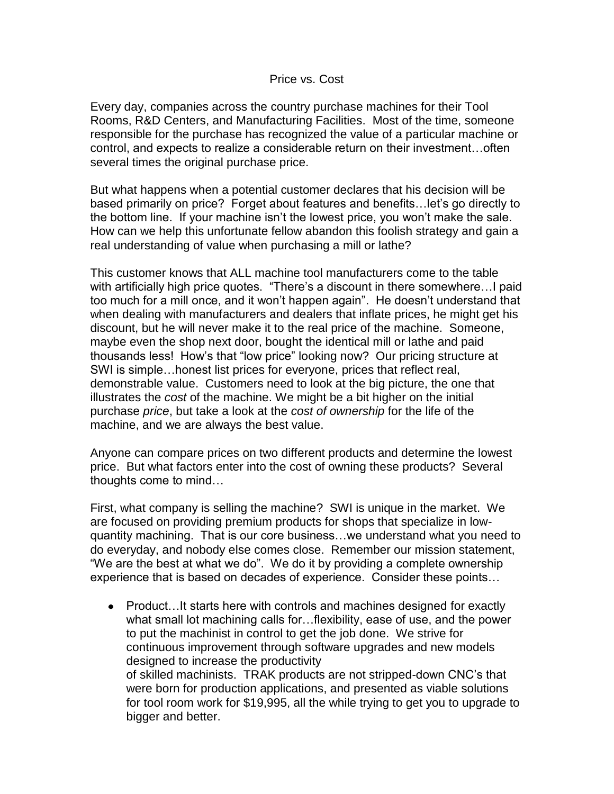## Price vs. Cost

Every day, companies across the country purchase machines for their Tool Rooms, R&D Centers, and Manufacturing Facilities. Most of the time, someone responsible for the purchase has recognized the value of a particular machine or control, and expects to realize a considerable return on their investment…often several times the original purchase price.

But what happens when a potential customer declares that his decision will be based primarily on price? Forget about features and benefits…let's go directly to the bottom line. If your machine isn't the lowest price, you won't make the sale. How can we help this unfortunate fellow abandon this foolish strategy and gain a real understanding of value when purchasing a mill or lathe?

This customer knows that ALL machine tool manufacturers come to the table with artificially high price quotes. "There's a discount in there somewhere…I paid too much for a mill once, and it won't happen again". He doesn't understand that when dealing with manufacturers and dealers that inflate prices, he might get his discount, but he will never make it to the real price of the machine. Someone, maybe even the shop next door, bought the identical mill or lathe and paid thousands less! How's that "low price" looking now? Our pricing structure at SWI is simple…honest list prices for everyone, prices that reflect real, demonstrable value. Customers need to look at the big picture, the one that illustrates the *cost* of the machine. We might be a bit higher on the initial purchase *price*, but take a look at the *cost of ownership* for the life of the machine, and we are always the best value.

Anyone can compare prices on two different products and determine the lowest price. But what factors enter into the cost of owning these products? Several thoughts come to mind…

First, what company is selling the machine? SWI is unique in the market. We are focused on providing premium products for shops that specialize in lowquantity machining. That is our core business…we understand what you need to do everyday, and nobody else comes close. Remember our mission statement, "We are the best at what we do". We do it by providing a complete ownership experience that is based on decades of experience. Consider these points…

• Product...It starts here with controls and machines designed for exactly what small lot machining calls for…flexibility, ease of use, and the power to put the machinist in control to get the job done. We strive for continuous improvement through software upgrades and new models designed to increase the productivity of skilled machinists. TRAK products are not stripped-down CNC's that were born for production applications, and presented as viable solutions for tool room work for \$19,995, all the while trying to get you to upgrade to bigger and better.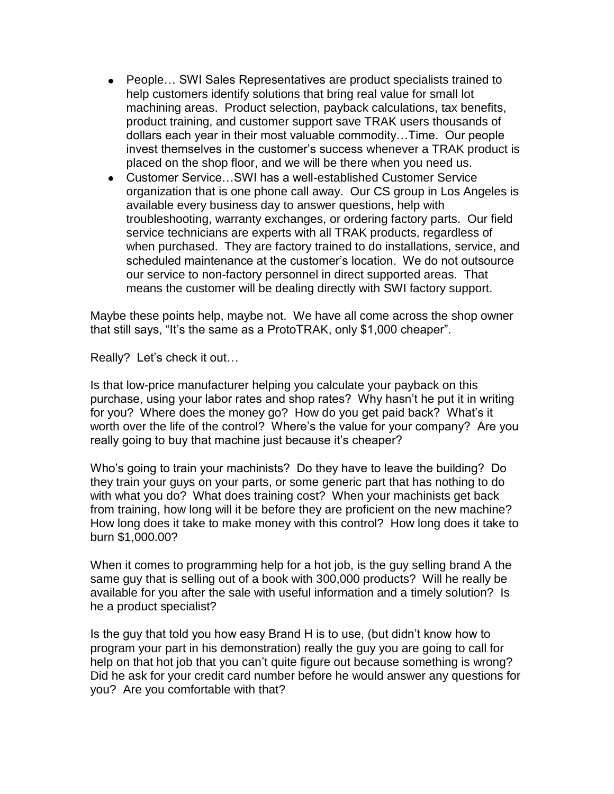- People… SWI Sales Representatives are product specialists trained to help customers identify solutions that bring real value for small lot machining areas. Product selection, payback calculations, tax benefits, product training, and customer support save TRAK users thousands of dollars each year in their most valuable commodity…Time. Our people invest themselves in the customer's success whenever a TRAK product is placed on the shop floor, and we will be there when you need us.
- Customer Service...SWI has a well-established Customer Service organization that is one phone call away. Our CS group in Los Angeles is available every business day to answer questions, help with troubleshooting, warranty exchanges, or ordering factory parts. Our field service technicians are experts with all TRAK products, regardless of when purchased. They are factory trained to do installations, service, and scheduled maintenance at the customer's location. We do not outsource our service to non-factory personnel in direct supported areas. That means the customer will be dealing directly with SWI factory support.

Maybe these points help, maybe not. We have all come across the shop owner that still says, "It's the same as a ProtoTRAK, only \$1,000 cheaper".

Really? Let's check it out…

Is that low-price manufacturer helping you calculate your payback on this purchase, using your labor rates and shop rates? Why hasn't he put it in writing for you? Where does the money go? How do you get paid back? What's it worth over the life of the control? Where's the value for your company? Are you really going to buy that machine just because it's cheaper?

Who's going to train your machinists? Do they have to leave the building? Do they train your guys on your parts, or some generic part that has nothing to do with what you do? What does training cost? When your machinists get back from training, how long will it be before they are proficient on the new machine? How long does it take to make money with this control? How long does it take to burn \$1,000.00?

When it comes to programming help for a hot job, is the guy selling brand A the same guy that is selling out of a book with 300,000 products? Will he really be available for you after the sale with useful information and a timely solution? Is he a product specialist?

Is the guy that told you how easy Brand H is to use, (but didn't know how to program your part in his demonstration) really the guy you are going to call for help on that hot job that you can't quite figure out because something is wrong? Did he ask for your credit card number before he would answer any questions for you? Are you comfortable with that?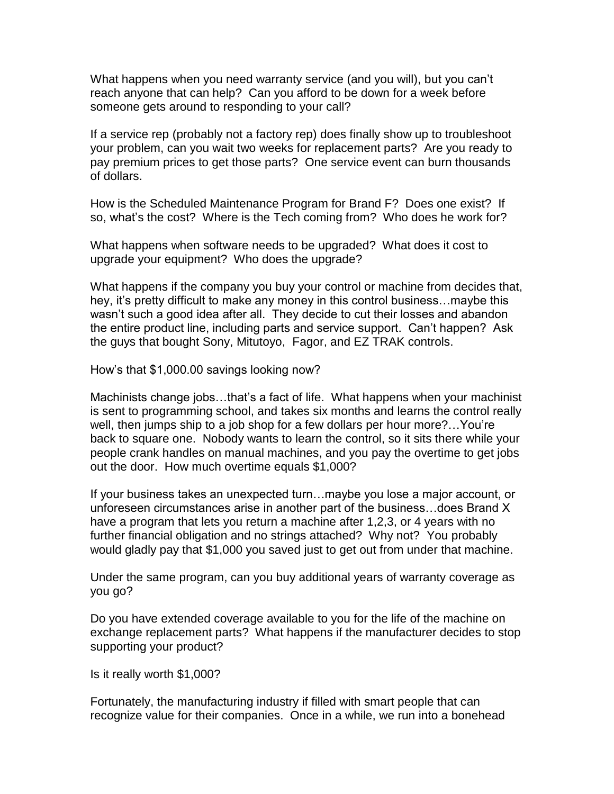What happens when you need warranty service (and you will), but you can't reach anyone that can help? Can you afford to be down for a week before someone gets around to responding to your call?

If a service rep (probably not a factory rep) does finally show up to troubleshoot your problem, can you wait two weeks for replacement parts? Are you ready to pay premium prices to get those parts? One service event can burn thousands of dollars.

How is the Scheduled Maintenance Program for Brand F? Does one exist? If so, what's the cost? Where is the Tech coming from? Who does he work for?

What happens when software needs to be upgraded? What does it cost to upgrade your equipment? Who does the upgrade?

What happens if the company you buy your control or machine from decides that, hey, it's pretty difficult to make any money in this control business…maybe this wasn't such a good idea after all. They decide to cut their losses and abandon the entire product line, including parts and service support. Can't happen? Ask the guys that bought Sony, Mitutoyo, Fagor, and EZ TRAK controls.

How's that \$1,000.00 savings looking now?

Machinists change jobs…that's a fact of life. What happens when your machinist is sent to programming school, and takes six months and learns the control really well, then jumps ship to a job shop for a few dollars per hour more?...You're back to square one. Nobody wants to learn the control, so it sits there while your people crank handles on manual machines, and you pay the overtime to get jobs out the door. How much overtime equals \$1,000?

If your business takes an unexpected turn…maybe you lose a major account, or unforeseen circumstances arise in another part of the business…does Brand X have a program that lets you return a machine after 1,2,3, or 4 years with no further financial obligation and no strings attached? Why not? You probably would gladly pay that \$1,000 you saved just to get out from under that machine.

Under the same program, can you buy additional years of warranty coverage as you go?

Do you have extended coverage available to you for the life of the machine on exchange replacement parts? What happens if the manufacturer decides to stop supporting your product?

Is it really worth \$1,000?

Fortunately, the manufacturing industry if filled with smart people that can recognize value for their companies. Once in a while, we run into a bonehead